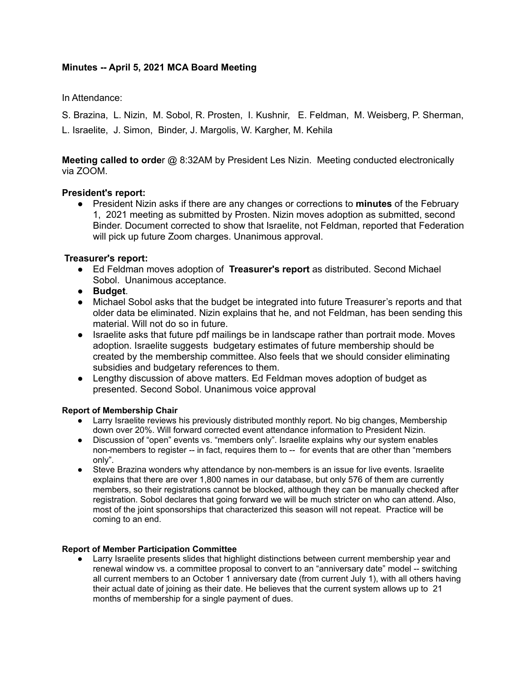# **Minutes -- April 5, 2021 MCA Board Meeting**

In Attendance:

S. Brazina, L. Nizin, M. Sobol, R. Prosten, I. Kushnir, E. Feldman, M. Weisberg, P. Sherman, L. Israelite, J. Simon, Binder, J. Margolis, W. Kargher, M. Kehila

**Meeting called to orde**r @ 8:32AM by President Les Nizin. Meeting conducted electronically via ZOOM.

## **President's report:**

● President Nizin asks if there are any changes or corrections to **minutes** of the February 1, 2021 meeting as submitted by Prosten. Nizin moves adoption as submitted, second Binder. Document corrected to show that Israelite, not Feldman, reported that Federation will pick up future Zoom charges. Unanimous approval.

#### **Treasurer's report:**

- Ed Feldman moves adoption of **Treasurer's report** as distributed. Second Michael Sobol. Unanimous acceptance.
- **Budget**.
- Michael Sobol asks that the budget be integrated into future Treasurer's reports and that older data be eliminated. Nizin explains that he, and not Feldman, has been sending this material. Will not do so in future.
- Israelite asks that future pdf mailings be in landscape rather than portrait mode. Moves adoption. Israelite suggests budgetary estimates of future membership should be created by the membership committee. Also feels that we should consider eliminating subsidies and budgetary references to them.
- Lengthy discussion of above matters. Ed Feldman moves adoption of budget as presented. Second Sobol. Unanimous voice approval

#### **Report of Membership Chair**

- Larry Israelite reviews his previously distributed monthly report. No big changes, Membership down over 20%. Will forward corrected event attendance information to President Nizin.
- Discussion of "open" events vs. "members only". Israelite explains why our system enables non-members to register -- in fact, requires them to -- for events that are other than "members only".
- Steve Brazina wonders why attendance by non-members is an issue for live events. Israelite explains that there are over 1,800 names in our database, but only 576 of them are currently members, so their registrations cannot be blocked, although they can be manually checked after registration. Sobol declares that going forward we will be much stricter on who can attend. Also, most of the joint sponsorships that characterized this season will not repeat. Practice will be coming to an end.

#### **Report of Member Participation Committee**

• Larry Israelite presents slides that highlight distinctions between current membership year and renewal window vs. a committee proposal to convert to an "anniversary date" model -- switching all current members to an October 1 anniversary date (from current July 1), with all others having their actual date of joining as their date. He believes that the current system allows up to 21 months of membership for a single payment of dues.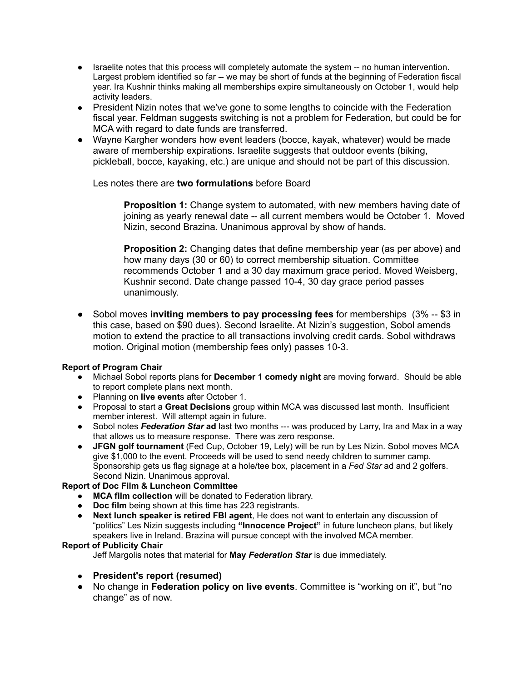- Israelite notes that this process will completely automate the system -- no human intervention. Largest problem identified so far -- we may be short of funds at the beginning of Federation fiscal year. Ira Kushnir thinks making all memberships expire simultaneously on October 1, would help activity leaders.
- President Nizin notes that we've gone to some lengths to coincide with the Federation fiscal year. Feldman suggests switching is not a problem for Federation, but could be for MCA with regard to date funds are transferred.
- Wayne Kargher wonders how event leaders (bocce, kayak, whatever) would be made aware of membership expirations. Israelite suggests that outdoor events (biking, pickleball, bocce, kayaking, etc.) are unique and should not be part of this discussion.

## Les notes there are **two formulations** before Board

**Proposition 1:** Change system to automated, with new members having date of joining as yearly renewal date -- all current members would be October 1. Moved Nizin, second Brazina. Unanimous approval by show of hands.

**Proposition 2:** Changing dates that define membership year (as per above) and how many days (30 or 60) to correct membership situation. Committee recommends October 1 and a 30 day maximum grace period. Moved Weisberg, Kushnir second. Date change passed 10-4, 30 day grace period passes unanimously.

● Sobol moves **inviting members to pay processing fees** for memberships (3% -- \$3 in this case, based on \$90 dues). Second Israelite. At Nizin's suggestion, Sobol amends motion to extend the practice to all transactions involving credit cards. Sobol withdraws motion. Original motion (membership fees only) passes 10-3.

#### **Report of Program Chair**

- Michael Sobol reports plans for **December 1 comedy night** are moving forward. Should be able to report complete plans next month.
- Planning on **live event**s after October 1.
- Proposal to start a **Great Decisions** group within MCA was discussed last month. Insufficient member interest. Will attempt again in future.
- Sobol notes *Federation Star* **ad** last two months --- was produced by Larry, Ira and Max in a way that allows us to measure response. There was zero response.
- **JFGN golf tournament** (Fed Cup, October 19, Lely) will be run by Les Nizin. Sobol moves MCA give \$1,000 to the event. Proceeds will be used to send needy children to summer camp. Sponsorship gets us flag signage at a hole/tee box, placement in a *Fed Star* ad and 2 golfers. Second Nizin. Unanimous approval.

## **Report of Doc Film & Luncheon Committee**

- **MCA film collection** will be donated to Federation library.
- **Doc film** being shown at this time has 223 registrants.
- **Next lunch speaker is retired FBI agent**, He does not want to entertain any discussion of "politics" Les Nizin suggests including **"Innocence Project"** in future luncheon plans, but likely speakers live in Ireland. Brazina will pursue concept with the involved MCA member.

#### **Report of Publicity Chair**

Jeff Margolis notes that material for **May** *Federation Star* is due immediately.

- **President's report (resumed)**
- No change in **Federation policy on live events**. Committee is "working on it", but "no change" as of now.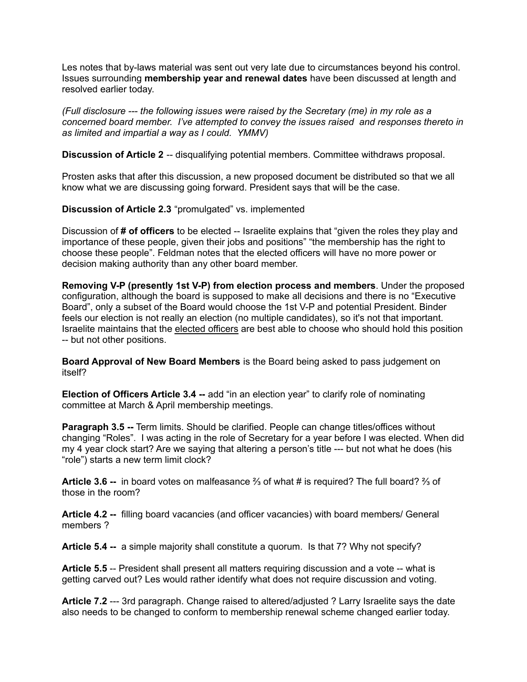Les notes that by-laws material was sent out very late due to circumstances beyond his control. Issues surrounding **membership year and renewal dates** have been discussed at length and resolved earlier today.

*(Full disclosure --- the following issues were raised by the Secretary (me) in my role as a concerned board member. I've attempted to convey the issues raised and responses thereto in as limited and impartial a way as I could. YMMV)*

**Discussion of Article 2** -- disqualifying potential members. Committee withdraws proposal.

Prosten asks that after this discussion, a new proposed document be distributed so that we all know what we are discussing going forward. President says that will be the case.

**Discussion of Article 2.3** "promulgated" vs. implemented

Discussion of **# of officers** to be elected -- Israelite explains that "given the roles they play and importance of these people, given their jobs and positions" "the membership has the right to choose these people". Feldman notes that the elected officers will have no more power or decision making authority than any other board member.

**Removing V-P (presently 1st V-P) from election process and members**. Under the proposed configuration, although the board is supposed to make all decisions and there is no "Executive Board", only a subset of the Board would choose the 1st V-P and potential President. Binder feels our election is not really an election (no multiple candidates), so it's not that important. Israelite maintains that the elected officers are best able to choose who should hold this position -- but not other positions.

**Board Approval of New Board Members** is the Board being asked to pass judgement on itself?

**Election of Officers Article 3.4 --** add "in an election year" to clarify role of nominating committee at March & April membership meetings.

**Paragraph 3.5 --** Term limits. Should be clarified. People can change titles/offices without changing "Roles". I was acting in the role of Secretary for a year before I was elected. When did my 4 year clock start? Are we saying that altering a person's title --- but not what he does (his "role") starts a new term limit clock?

**Article 3.6 --** in board votes on malfeasance ⅔ of what # is required? The full board? ⅔ of those in the room?

**Article 4.2 --** filling board vacancies (and officer vacancies) with board members/ General members ?

**Article 5.4 --** a simple majority shall constitute a quorum. Is that 7? Why not specify?

**Article 5.5** -- President shall present all matters requiring discussion and a vote -- what is getting carved out? Les would rather identify what does not require discussion and voting.

**Article 7.2** --- 3rd paragraph. Change raised to altered/adjusted ? Larry Israelite says the date also needs to be changed to conform to membership renewal scheme changed earlier today.